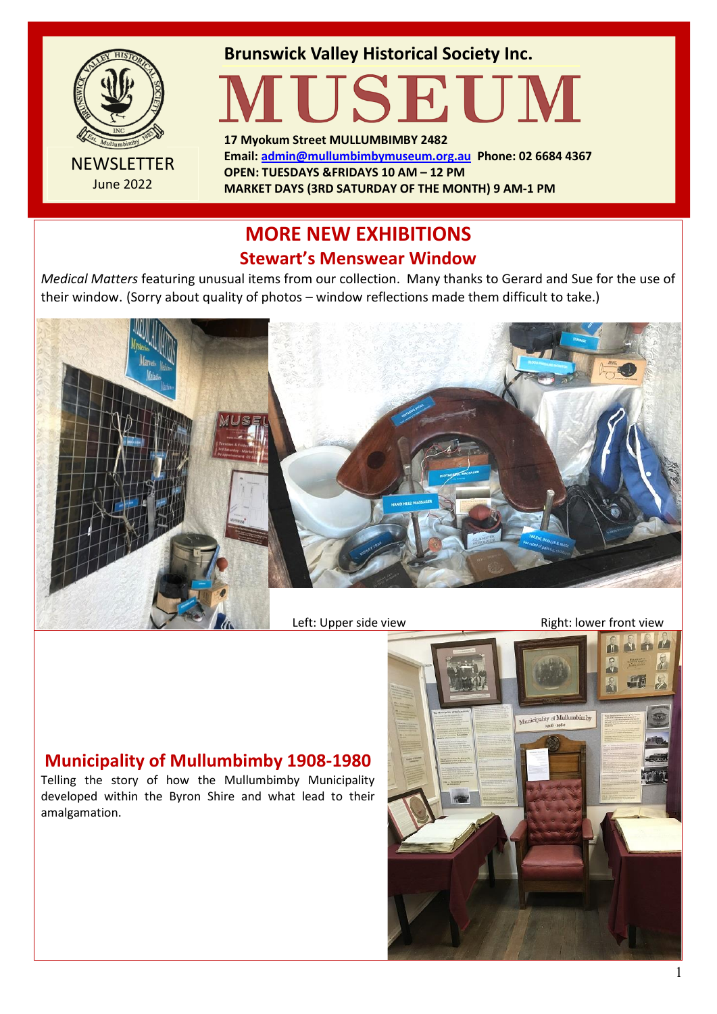

**Brunswick Valley Historical Society Inc.**

**17 Myokum Street MULLUMBIMBY 2482 Email: [admin@mullumbimbymuseum.org.au](mailto:admin@mullumbimbymuseum.org.au) Phone: 02 6684 4367 OPEN: TUESDAYS &FRIDAYS 10 AM – 12 PM MARKET DAYS (3RD SATURDAY OF THE MONTH) 9 AM-1 PM**

# **MORE NEW EXHIBITIONS Stewart's Menswear Window**

*Medical Matters* featuring unusual items from our collection. Many thanks to Gerard and Sue for the use of their window. (Sorry about quality of photos – window reflections made them difficult to take.)



Left: Upper side view **Right: lower front view** 

## **Municipality of Mullumbimby 1908-1980**

Telling the story of how the Mullumbimby Municipality developed within the Byron Shire and what lead to their amalgamation.

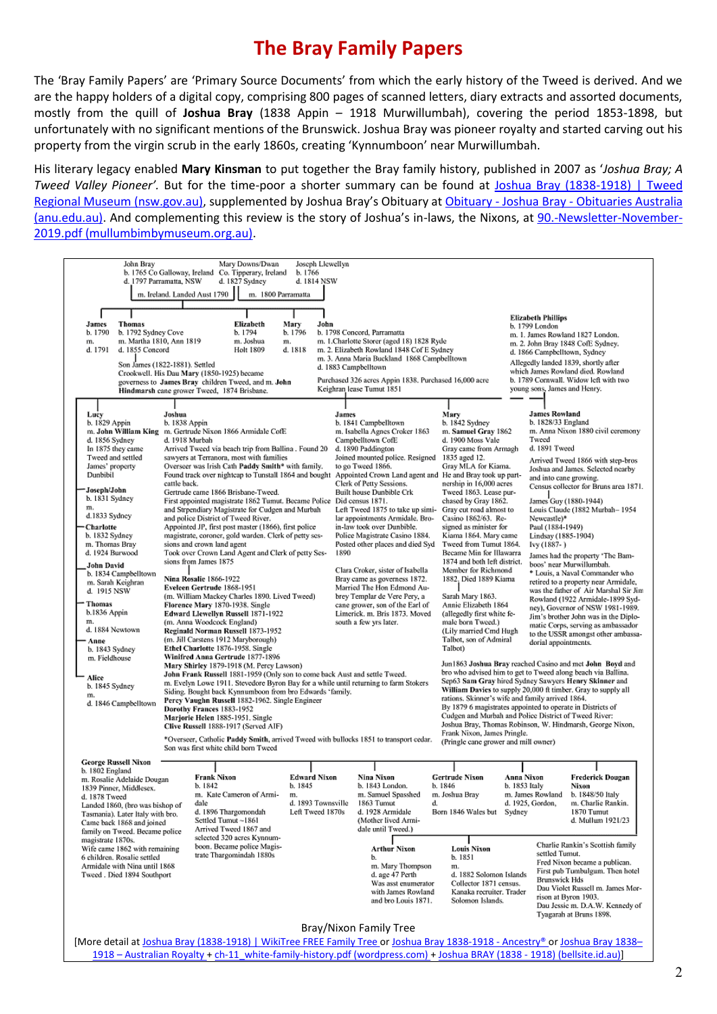# **The Bray Family Papers**

The 'Bray Family Papers' are 'Primary Source Documents' from which the early history of the Tweed is derived. And we are the happy holders of a digital copy, comprising 800 pages of scanned letters, diary extracts and assorted documents, mostly from the quill of **Joshua Bray** (1838 Appin – 1918 Murwillumbah), covering the period 1853-1898, but unfortunately with no significant mentions of the Brunswick. Joshua Bray was pioneer royalty and started carving out his property from the virgin scrub in the early 1860s, creating 'Kynnumboon' near Murwillumbah.

His literary legacy enabled **Mary Kinsman** to put together the Bray family history, published in 2007 as '*Joshua Bray; A Tweed Valley Pioneer'.* But for the time-poor a shorter summary can be found at [Joshua Bray \(1838-1918\) | Tweed](https://museum.tweed.nsw.gov.au/explore/people-places/people/family-stories/joshua-bray)  [Regional Museum \(nsw.gov.au\),](https://museum.tweed.nsw.gov.au/explore/people-places/people/family-stories/joshua-bray) supplemented by Joshua Bray's Obituary at Obituary - Joshua Bray - [Obituaries Australia](https://oa.anu.edu.au/obituary/bray-joshua-26774)  [\(anu.edu.au\)](https://oa.anu.edu.au/obituary/bray-joshua-26774). And complementing this review is the story of Joshua's in-laws, the Nixons, at [90.-Newsletter-November-](https://www.mullumbimbymuseum.org.au/wp-content/uploads/2019/12/90.-Newsletter-November-2019.pdf)[2019.pdf \(mullumbimbymuseum.org.au\).](https://www.mullumbimbymuseum.org.au/wp-content/uploads/2019/12/90.-Newsletter-November-2019.pdf)

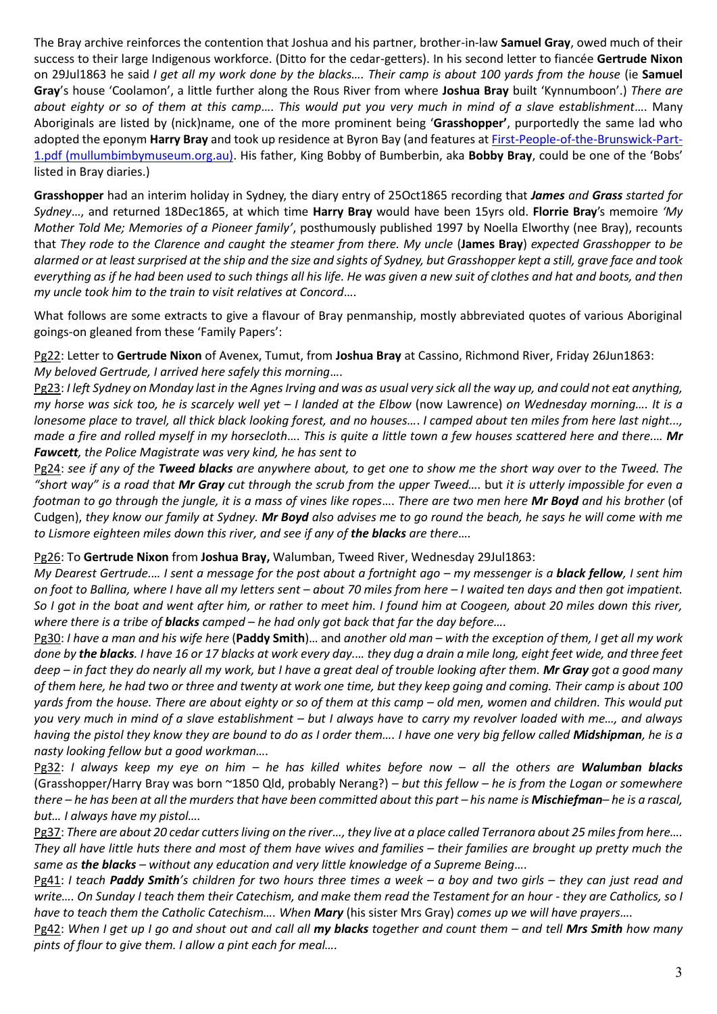The Bray archive reinforces the contention that Joshua and his partner, brother-in-law **Samuel Gray**, owed much of their success to their large Indigenous workforce. (Ditto for the cedar-getters). In his second letter to fiancée **Gertrude Nixon** on 29Jul1863 he said *I get all my work done by the blacks…. Their camp is about 100 yards from the house* (ie **Samuel Gray**'s house 'Coolamon', a little further along the Rous River from where **Joshua Bray** built 'Kynnumboon'.) *There are about eighty or so of them at this camp*…. *This would put you very much in mind of a slave establishment*…. Many Aboriginals are listed by (nick)name, one of the more prominent being '**Grasshopper'**, purportedly the same lad who adopted the eponym **Harry Bray** and took up residence at Byron Bay (and features at [First-People-of-the-Brunswick-Part-](https://www.mullumbimbymuseum.org.au/wp-content/uploads/2022/03/First-People-of-the-Brunswick-Part-1.pdf)[1.pdf \(mullumbimbymuseum.org.au\).](https://www.mullumbimbymuseum.org.au/wp-content/uploads/2022/03/First-People-of-the-Brunswick-Part-1.pdf) His father, King Bobby of Bumberbin, aka **Bobby Bray**, could be one of the 'Bobs' listed in Bray diaries.)

**Grasshopper** had an interim holiday in Sydney, the diary entry of 25Oct1865 recording that *James and Grass started for Sydney*…, and returned 18Dec1865, at which time **Harry Bray** would have been 15yrs old. **Florrie Bray**'s memoire *'My Mother Told Me; Memories of a Pioneer family'*, posthumously published 1997 by Noella Elworthy (nee Bray), recounts that *They rode to the Clarence and caught the steamer from there. My uncle* (**James Bray**) *expected Grasshopper to be alarmed or at least surprised at the ship and the size and sights of Sydney, but Grasshopper kept a still, grave face and took everything as if he had been used to such things all his life. He was given a new suit of clothes and hat and boots, and then my uncle took him to the train to visit relatives at Concord*….

What follows are some extracts to give a flavour of Bray penmanship, mostly abbreviated quotes of various Aboriginal goings-on gleaned from these 'Family Papers':

Pg22: Letter to **Gertrude Nixon** of Avenex, Tumut, from **Joshua Bray** at Cassino, Richmond River, Friday 26Jun1863: *My beloved Gertrude, I arrived here safely this morning*….

Pg23: *I left Sydney on Monday last in the Agnes Irving and was as usual very sick all the way up, and could not eat anything, my horse was sick too, he is scarcely well yet – I landed at the Elbow* (now Lawrence) *on Wednesday morning…. It is a lonesome place to travel, all thick black looking forest, and no houses…*. *I camped about ten miles from here last night..., made a fire and rolled myself in my horsecloth*…. *This is quite a little town a few houses scattered here and there.… Mr Fawcett, the Police Magistrate was very kind, he has sent to*

Pg24: *see if any of the Tweed blacks are anywhere about, to get one to show me the short way over to the Tweed. The "short way" is a road that Mr Gray cut through the scrub from the upper Tweed….* but *it is utterly impossible for even a footman to go through the jungle, it is a mass of vines like ropes*…. *There are two men here Mr Boyd and his brother* (of Cudgen), *they know our family at Sydney. Mr Boyd also advises me to go round the beach, he says he will come with me to Lismore eighteen miles down this river, and see if any of the blacks are there*….

Pg26: To **Gertrude Nixon** from **Joshua Bray,** Walumban, Tweed River, Wednesday 29Jul1863:

*My Dearest Gertrude.… I sent a message for the post about a fortnight ago – my messenger is a black fellow, I sent him on foot to Ballina, where I have all my letters sent – about 70 miles from here – I waited ten days and then got impatient. So I got in the boat and went after him, or rather to meet him. I found him at Coogeen, about 20 miles down this river, where there is a tribe of blacks camped – he had only got back that far the day before….*

Pg30: *I have a man and his wife here* (**Paddy Smith**)… and *another old man – with the exception of them, I get all my work done by the blacks. I have 16 or 17 blacks at work every day.… they dug a drain a mile long, eight feet wide, and three feet deep – in fact they do nearly all my work, but I have a great deal of trouble looking after them. Mr Gray got a good many of them here, he had two or three and twenty at work one time, but they keep going and coming. Their camp is about 100 yards from the house. There are about eighty or so of them at this camp – old men, women and children. This would put you very much in mind of a slave establishment – but I always have to carry my revolver loaded with me..., and always having the pistol they know they are bound to do as I order them…. I have one very big fellow called Midshipman, he is a nasty looking fellow but a good workman….*

Pg32: *I always keep my eye on him – he has killed whites before now – all the others are Walumban blacks* (Grasshopper/Harry Bray was born ~1850 Qld, probably Nerang?) *– but this fellow – he is from the Logan or somewhere there – he has been at all the murders that have been committed about this part – his name is Mischiefman– he is a rascal, but… I always have my pistol….*

Pg37: *There are about 20 cedar cutters living on the river…, they live at a place called Terranora about 25 miles from here…. They all have little huts there and most of them have wives and families – their families are brought up pretty much the same as the blacks – without any education and very little knowledge of a Supreme Being*….

Pg41: *I teach Paddy Smith's children for two hours three times a week – a boy and two girls – they can just read and write…. On Sunday I teach them their Catechism, and make them read the Testament for an hour - they are Catholics, so I have to teach them the Catholic Catechism…. When Mary* (his sister Mrs Gray) *comes up we will have prayers….*

Pg42: *When I get up I go and shout out and call all my blacks together and count them – and tell Mrs Smith how many pints of flour to give them. I allow a pint each for meal….*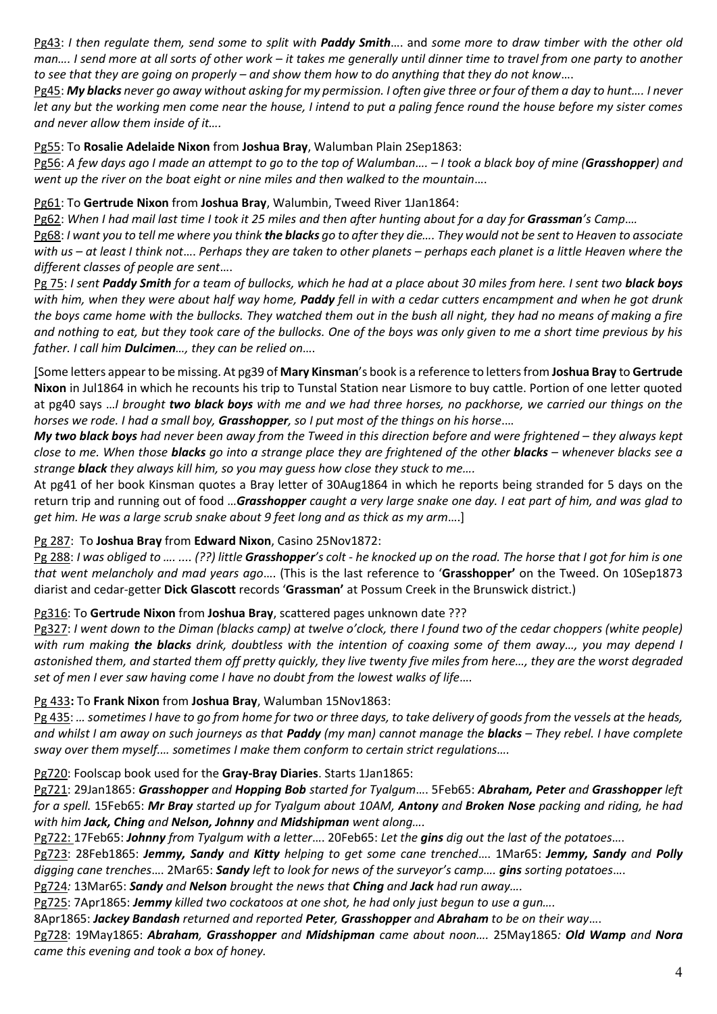Pg43: *I then regulate them, send some to split with Paddy Smith*…. and *some more to draw timber with the other old man…. I send more at all sorts of other work – it takes me generally until dinner time to travel from one party to another to see that they are going on properly – and show them how to do anything that they do not know*….

Pg45: *My blacks never go away without asking for my permission. I often give three or four of them a day to hunt…. I never let any but the working men come near the house, I intend to put a paling fence round the house before my sister comes and never allow them inside of it….*

#### Pg55: To **Rosalie Adelaide Nixon** from **Joshua Bray**, Walumban Plain 2Sep1863:

Pg56: *A few days ago I made an attempt to go to the top of Walumban…. – I took a black boy of mine (Grasshopper) and went up the river on the boat eight or nine miles and then walked to the mountain*….

#### Pg61: To **Gertrude Nixon** from **Joshua Bray**, Walumbin, Tweed River 1Jan1864:

Pg62: *When I had mail last time I took it 25 miles and then after hunting about for a day for Grassman's Camp*.*…*

Pg68: *I want you to tell me where you think the blacks go to after they die…. They would not be sent to Heaven to associate with us – at least I think not*…. *Perhaps they are taken to other planets – perhaps each planet is a little Heaven where the different classes of people are sent*….

Pg 75: *I sent Paddy Smith for a team of bullocks, which he had at a place about 30 miles from here. I sent two black boys with him, when they were about half way home, Paddy fell in with a cedar cutters encampment and when he got drunk the boys came home with the bullocks. They watched them out in the bush all night, they had no means of making a fire and nothing to eat, but they took care of the bullocks. One of the boys was only given to me a short time previous by his father. I call him Dulcimen…, they can be relied on*….

[Some letters appear to be missing. At pg39 of **Mary Kinsman**'s book is a reference to letters from **Joshua Bray** to **Gertrude Nixon** in Jul1864 in which he recounts his trip to Tunstal Station near Lismore to buy cattle. Portion of one letter quoted at pg40 says …*I brought two black boys with me and we had three horses, no packhorse, we carried our things on the horses we rode. I had a small boy, Grasshopper, so I put most of the things on his horse*.…

*My two black boys had never been away from the Tweed in this direction before and were frightened – they always kept close to me. When those blacks go into a strange place they are frightened of the other blacks – whenever blacks see a strange black they always kill him, so you may guess how close they stuck to me….*

At pg41 of her book Kinsman quotes a Bray letter of 30Aug1864 in which he reports being stranded for 5 days on the return trip and running out of food …*Grasshopper caught a very large snake one day. I eat part of him, and was glad to get him. He was a large scrub snake about 9 feet long and as thick as my arm*….]

### Pg 287: To **Joshua Bray** from **Edward Nixon**, Casino 25Nov1872:

Pg 288: *I was obliged to …. .... (??) little Grasshopper's colt - he knocked up on the road. The horse that I got for him is one that went melancholy and mad years ago*…. (This is the last reference to '**Grasshopper'** on the Tweed. On 10Sep1873 diarist and cedar-getter **Dick Glascott** records '**Grassman'** at Possum Creek in the Brunswick district.)

### Pg316: To **Gertrude Nixon** from **Joshua Bray**, scattered pages unknown date ???

Pg327: *I went down to the Diman (blacks camp) at twelve o'clock, there I found two of the cedar choppers (white people) with rum making the blacks drink, doubtless with the intention of coaxing some of them away…, you may depend I astonished them, and started them off pretty quickly, they live twenty five miles from here…, they are the worst degraded set of men I ever saw having come I have no doubt from the lowest walks of life*….

#### Pg 433**:** To **Frank Nixon** from **Joshua Bray**, Walumban 15Nov1863:

Pg 435: *… sometimes I have to go from home for two or three days, to take delivery of goods from the vessels at the heads, and whilst I am away on such journeys as that Paddy (my man) cannot manage the blacks – They rebel. I have complete sway over them myself.… sometimes I make them conform to certain strict regulations….*

### Pg720: Foolscap book used for the **Gray-Bray Diaries**. Starts 1Jan1865:

Pg721: 29Jan1865: *Grasshopper and Hopping Bob started for Tyalgum*…. 5Feb65: *Abraham, Peter and Grasshopper left for a spell.* 15Feb65: *Mr Bray started up for Tyalgum about 10AM, Antony and Broken Nose packing and riding, he had with him Jack, Ching and Nelson, Johnny and Midshipman went along….*

Pg722: 17Feb65: *Johnny from Tyalgum with a letter*…. 20Feb65: *Let the gins dig out the last of the potatoes*….

Pg723: 28Feb1865: *Jemmy, Sandy and Kitty helping to get some cane trenched*…. 1Mar65: *Jemmy, Sandy and Polly digging cane trenches*…. 2Mar65: *Sandy left to look for news of the surveyor's camp…. gins sorting potatoes*….

Pg724*:* 13Mar65: *Sandy and Nelson brought the news that Ching and Jack had run away….*

Pg725: 7Apr1865: *Jemmy killed two cockatoos at one shot, he had only just begun to use a gun….*

8Apr1865: *Jackey Bandash returned and reported Peter, Grasshopper and Abraham to be on their way*….

Pg728: 19May1865: *Abraham, Grasshopper and Midshipman came about noon….* 25May1865*: Old Wamp and Nora came this evening and took a box of honey.*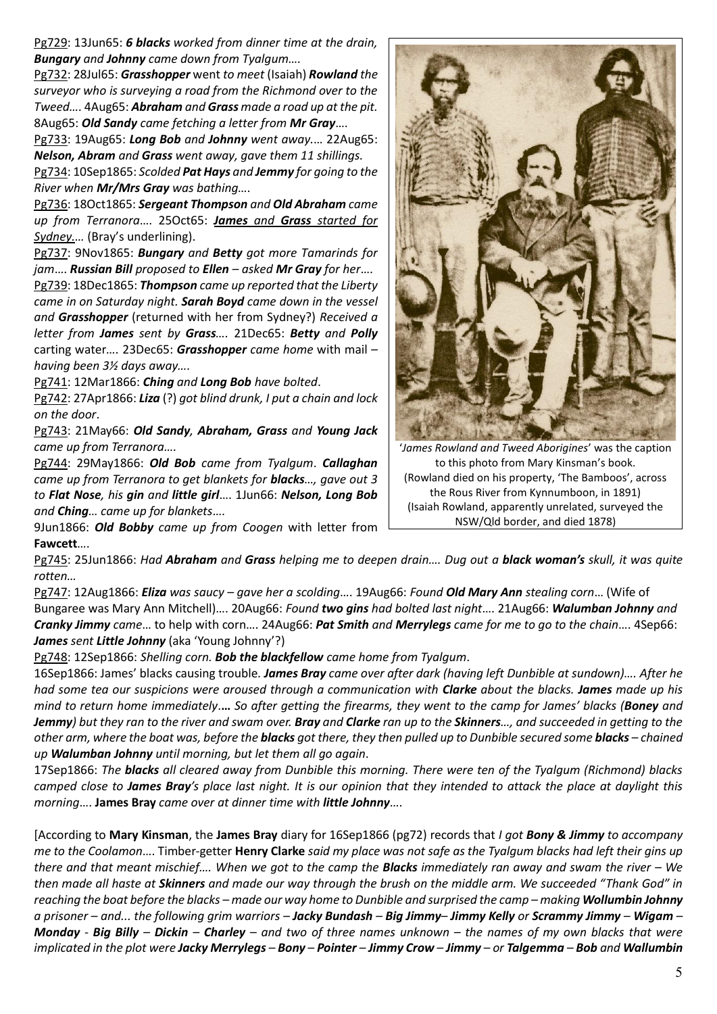Pg729: 13Jun65: *6 blacks worked from dinner time at the drain, Bungary and Johnny came down from Tyalgum….*

Pg732: 28Jul65: *Grasshopper* went *to meet* (Isaiah) *Rowland the surveyor who is surveying a road from the Richmond over to the Tweed….* 4Aug65: *Abraham and Grass made a road up at the pit.* 8Aug65: *Old Sandy came fetching a letter from Mr Gray*….

Pg733: 19Aug65: *Long Bob and Johnny went away.*… 22Aug65: *Nelson, Abram and Grass went away, gave them 11 shillings.*

Pg734: 10Sep1865: *Scolded Pat Hays and Jemmy for going to the River when Mr/Mrs Gray was bathing….*

Pg736: 18Oct1865: *Sergeant Thompson and Old Abraham came up from Terranora*…. 25Oct65: *James and Grass started for Sydney.…* (Bray's underlining).

Pg737: 9Nov1865: *Bungary and Betty got more Tamarinds for jam*…. *Russian Bill proposed to Ellen – asked Mr Gray for her*…. Pg739: 18Dec1865: *Thompson came up reported that the Liberty came in on Saturday night. Sarah Boyd came down in the vessel and Grasshopper* (returned with her from Sydney?) *Received a letter from James sent by Grass….* 21Dec65: *Betty and Polly* carting water*….* 23Dec65: *Grasshopper came home* with mail *– having been 3½ days away….*

Pg741: 12Mar1866: *Ching and Long Bob have bolted*.

Pg742: 27Apr1866: *Liza* (?) *got blind drunk, I put a chain and lock on the door*.

Pg743: 21May66: *Old Sandy, Abraham, Grass and Young Jack came up from Terranora….*

Pg744: 29May1866: *Old Bob came from Tyalgum*. *Callaghan came up from Terranora to get blankets for blacks…, gave out 3 to Flat Nose, his gin and little girl*…. 1Jun66: *Nelson, Long Bob and Ching… came up for blankets*….

9Jun1866: *Old Bobby came up from Coogen* with letter from **Fawcett**….



'*James Rowland and Tweed Aborigines*' was the caption to this photo from Mary Kinsman's book. (Rowland died on his property, 'The Bamboos', across the Rous River from Kynnumboon, in 1891) (Isaiah Rowland, apparently unrelated, surveyed the NSW/Qld border, and died 1878)

Pg745: 25Jun1866: *Had Abraham and Grass helping me to deepen drain…. Dug out a black woman's skull, it was quite rotten…*

Pg747: 12Aug1866: *Eliza was saucy – gave her a scolding*…. 19Aug66: *Found Old Mary Ann stealing corn*… (Wife of Bungaree was Mary Ann Mitchell)…. 20Aug66: *Found two gins had bolted last night*…. 21Aug66: *Walumban Johnny and Cranky Jimmy came*… to help with corn…. 24Aug66: *Pat Smith and Merrylegs came for me to go to the chain*…. 4Sep66: *James sent Little Johnny* (aka 'Young Johnny'?)

Pg748: 12Sep1866: *Shelling corn. Bob the blackfellow came home from Tyalgum*.

16Sep1866: James' blacks causing trouble*. James Bray came over after dark (having left Dunbible at sundown)…. After he had some tea our suspicions were aroused through a communication with Clarke about the blacks. James made up his mind to return home immediately*.**…** *So after getting the firearms, they went to the camp for James' blacks (Boney and Jemmy) but they ran to the river and swam over. Bray and Clarke ran up to the Skinners…, and succeeded in getting to the other arm, where the boat was, before the blacks got there, they then pulled up to Dunbible secured some blacks – chained up Walumban Johnny until morning, but let them all go again*.

17Sep1866: *The blacks all cleared away from Dunbible this morning. There were ten of the Tyalgum (Richmond) blacks camped close to James Bray's place last night. It is our opinion that they intended to attack the place at daylight this morning*…. **James Bray** *came over at dinner time with little Johnny*….

[According to **Mary Kinsman**, the **James Bray** diary for 16Sep1866 (pg72) records that *I got Bony & Jimmy to accompany me to the Coolamon*…. Timber-getter **Henry Clarke** *said my place was not safe as the Tyalgum blacks had left their gins up there and that meant mischief…. When we got to the camp the Blacks immediately ran away and swam the river – We then made all haste at Skinners and made our way through the brush on the middle arm. We succeeded "Thank God" in reaching the boat before the blacks – made our way home to Dunbible and surprised the camp – making Wollumbin Johnny a prisoner – and... the following grim warriors – Jacky Bundash – Big Jimmy– Jimmy Kelly or Scrammy Jimmy – Wigam – Monday - Big Billy – Dickin – Charley – and two of three names unknown – the names of my own blacks that were*  implicated in the plot were Jacky Merrylegs – Bony – Pointer – Jimmy Crow – Jimmy – or Talgemma – Bob and Wallumbin